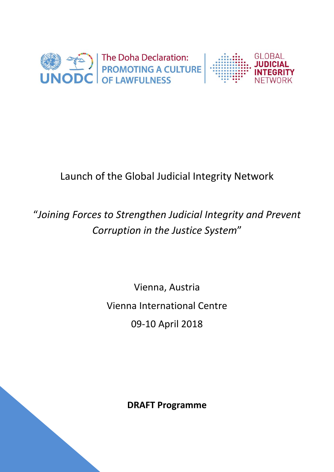

## Launch of the Global Judicial Integrity Network

## "*Joining Forces to Strengthen Judicial Integrity and Prevent Corruption in the Justice System*"

# Vienna, Austria Vienna International Centre 09-10 April 2018

**DRAFT Programme**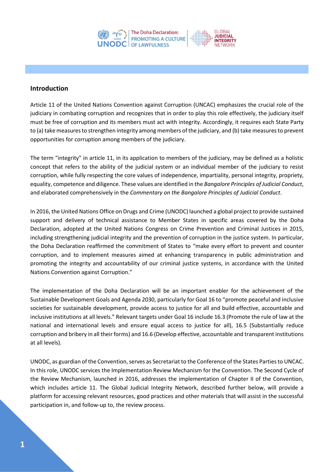

#### **Introduction**

Article 11 of the United Nations Convention against Corruption (UNCAC) emphasizes the crucial role of the judiciary in combating corruption and recognizes that in order to play this role effectively, the judiciary itself must be free of corruption and its members must act with integrity. Accordingly, it requires each State Party to (a) take measures to strengthen integrity among members of the judiciary, and (b) take measures to prevent opportunities for corruption among members of the judiciary.

The term "integrity" in article 11, in its application to members of the judiciary, may be defined as a holistic concept that refers to the ability of the judicial system or an individual member of the judiciary to resist corruption, while fully respecting the core values of independence, impartiality, personal integrity, propriety, equality, competence and diligence. These values are identified in the *Bangalore Principles of Judicial Conduct*, and elaborated comprehensively in the *Commentary on the Bangalore Principles of Judicial Conduct*.

In 2016, the United Nations Office on Drugs and Crime (UNODC) launched a global project to provide sustained support and delivery of technical assistance to Member States in specific areas covered by the Doha Declaration, adopted at the United Nations Congress on Crime Prevention and Criminal Justices in 2015, including strengthening judicial integrity and the prevention of corruption in the justice system. In particular, the Doha Declaration reaffirmed the commitment of States to "make every effort to prevent and counter corruption, and to implement measures aimed at enhancing transparency in public administration and promoting the integrity and accountability of our criminal justice systems, in accordance with the United Nations Convention against Corruption."

The implementation of the Doha Declaration will be an important enabler for the achievement of the Sustainable Development Goals and Agenda 2030, particularly for Goal 16 to "promote peaceful and inclusive societies for sustainable development, provide access to justice for all and build effective, accountable and inclusive institutions at all levels." Relevant targets under Goal 16 include 16.3 (Promote the rule of law at the national and international levels and ensure equal access to justice for all), 16.5 (Substantially reduce corruption and bribery in all their forms) and 16.6 (Develop effective, accountable and transparent institutions at all levels).

UNODC, as guardian of the Convention, serves as Secretariat to the Conference of the States Parties to UNCAC. In this role, UNODC services the Implementation Review Mechanism for the Convention. The Second Cycle of the Review Mechanism, launched in 2016, addresses the implementation of Chapter II of the Convention, which includes article 11. The Global Judicial Integrity Network, described further below, will provide a platform for accessing relevant resources, good practices and other materials that will assist in the successful participation in, and follow-up to, the review process.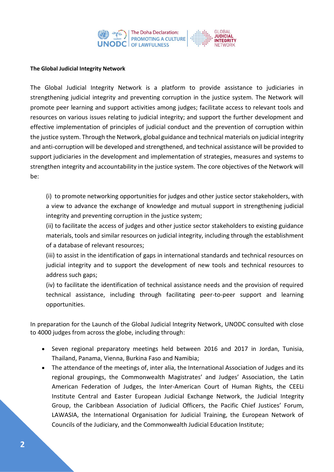

#### **The Global Judicial Integrity Network**

The Global Judicial Integrity Network is a platform to provide assistance to judiciaries in strengthening judicial integrity and preventing corruption in the justice system. The Network will promote peer learning and support activities among judges; facilitate access to relevant tools and resources on various issues relating to judicial integrity; and support the further development and effective implementation of principles of judicial conduct and the prevention of corruption within the justice system. Through the Network, global guidance and technical materials on judicial integrity and anti-corruption will be developed and strengthened, and technical assistance will be provided to support judiciaries in the development and implementation of strategies, measures and systems to strengthen integrity and accountability in the justice system. The core objectives of the Network will be:

(i) to promote networking opportunities for judges and other justice sector stakeholders, with a view to advance the exchange of knowledge and mutual support in strengthening judicial integrity and preventing corruption in the justice system;

(ii) to facilitate the access of judges and other justice sector stakeholders to existing guidance materials, tools and similar resources on judicial integrity, including through the establishment of a database of relevant resources;

(iii) to assist in the identification of gaps in international standards and technical resources on judicial integrity and to support the development of new tools and technical resources to address such gaps;

(iv) to facilitate the identification of technical assistance needs and the provision of required technical assistance, including through facilitating peer-to-peer support and learning opportunities.

In preparation for the Launch of the Global Judicial Integrity Network, UNODC consulted with close to 4000 judges from across the globe, including through:

- Seven regional preparatory meetings held between 2016 and 2017 in Jordan, Tunisia, Thailand, Panama, Vienna, Burkina Faso and Namibia;
- The attendance of the meetings of, inter alia, the International Association of Judges and its regional groupings, the Commonwealth Magistrates' and Judges' Association, the Latin American Federation of Judges, the Inter-American Court of Human Rights, the CEELi Institute Central and Easter European Judicial Exchange Network, the Judicial Integrity Group, the Caribbean Association of Judicial Officers, the Pacific Chief Justices' Forum, LAWASIA, the International Organisation for Judicial Training, the European Network of Councils of the Judiciary, and the Commonwealth Judicial Education Institute;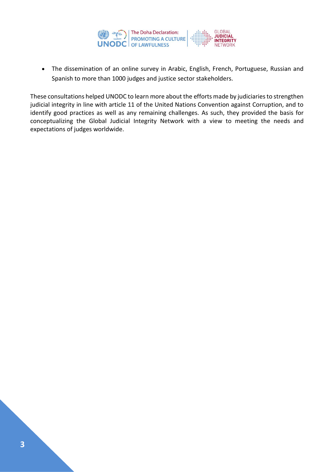

 The dissemination of an online survey in Arabic, English, French, Portuguese, Russian and Spanish to more than 1000 judges and justice sector stakeholders.

These consultations helped UNODC to learn more about the efforts made by judiciaries to strengthen judicial integrity in line with article 11 of the United Nations Convention against Corruption, and to identify good practices as well as any remaining challenges. As such, they provided the basis for conceptualizing the Global Judicial Integrity Network with a view to meeting the needs and expectations of judges worldwide.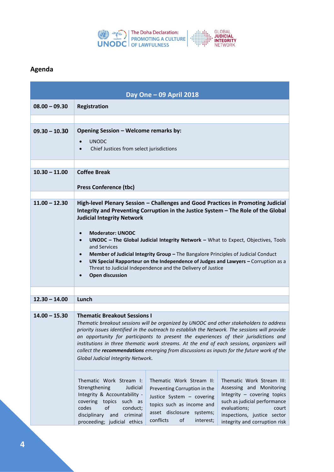

### **Agenda**

|                 | Day One - 09 April 2018                                                                                                                                                                                                                                                                                                                                                                                                                                                                                                                                                                                                                                                         |
|-----------------|---------------------------------------------------------------------------------------------------------------------------------------------------------------------------------------------------------------------------------------------------------------------------------------------------------------------------------------------------------------------------------------------------------------------------------------------------------------------------------------------------------------------------------------------------------------------------------------------------------------------------------------------------------------------------------|
| $08.00 - 09.30$ | <b>Registration</b>                                                                                                                                                                                                                                                                                                                                                                                                                                                                                                                                                                                                                                                             |
|                 |                                                                                                                                                                                                                                                                                                                                                                                                                                                                                                                                                                                                                                                                                 |
| $09.30 - 10.30$ | Opening Session - Welcome remarks by:<br><b>UNODC</b><br>$\bullet$<br>Chief Justices from select jurisdictions<br>$\bullet$                                                                                                                                                                                                                                                                                                                                                                                                                                                                                                                                                     |
|                 |                                                                                                                                                                                                                                                                                                                                                                                                                                                                                                                                                                                                                                                                                 |
| $10.30 - 11.00$ | <b>Coffee Break</b><br><b>Press Conference (tbc)</b>                                                                                                                                                                                                                                                                                                                                                                                                                                                                                                                                                                                                                            |
|                 |                                                                                                                                                                                                                                                                                                                                                                                                                                                                                                                                                                                                                                                                                 |
| $11.00 - 12.30$ | High-level Plenary Session - Challenges and Good Practices in Promoting Judicial<br>Integrity and Preventing Corruption in the Justice System - The Role of the Global<br><b>Judicial Integrity Network</b><br><b>Moderator: UNODC</b><br>$\bullet$<br>UNODC - The Global Judicial Integrity Network - What to Expect, Objectives, Tools<br>$\bullet$<br>and Services<br>Member of Judicial Integrity Group - The Bangalore Principles of Judicial Conduct<br>$\bullet$<br>UN Special Rapporteur on the Independence of Judges and Lawyers - Corruption as a<br>$\bullet$<br>Threat to Judicial Independence and the Delivery of Justice<br><b>Open discussion</b><br>$\bullet$ |
|                 |                                                                                                                                                                                                                                                                                                                                                                                                                                                                                                                                                                                                                                                                                 |
| $12.30 - 14.00$ | Lunch                                                                                                                                                                                                                                                                                                                                                                                                                                                                                                                                                                                                                                                                           |
| $14.00 - 15.30$ | <b>Thematic Breakout Sessions I</b><br>Thematic breakout sessions will be organized by UNODC and other stakeholders to address<br>priority issues identified in the outreach to establish the Network. The sessions will provide<br>an opportunity for participants to present the experiences of their jurisdictions and<br>institutions in three thematic work streams. At the end of each sessions, organizers will<br>collect the recommendations emerging from discussions as inputs for the future work of the<br>Global Judicial Integrity Network.                                                                                                                      |
|                 | Thematic Work Stream I:<br>Thematic Work Stream II:<br>Thematic Work Stream III:<br>Strengthening<br>Judicial<br>Assessing and Monitoring<br>Preventing Corruption in the<br>Integrity & Accountability -<br>Integrity - covering topics<br>Justice System - covering<br>such as judicial performance<br>covering topics such as<br>topics such as income and<br>of<br>codes<br>evaluations;<br>conduct;<br>court<br>asset disclosure systems;<br>disciplinary and<br>inspections, justice sector<br>criminal<br>conflicts<br>of<br>interest;<br>proceeding; judicial ethics<br>integrity and corruption risk                                                                   |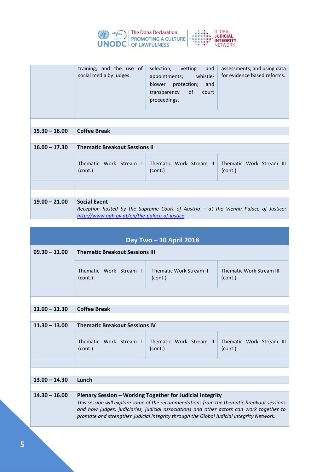

|                 | and<br>training; and the use of<br>selection, vetting<br>assessments; and using data<br>for evidence based reforms.<br>social media by judges.<br>appointments; whistle-<br>blower protection;<br>and<br>transparency of<br>court<br>proceedings. |  |
|-----------------|---------------------------------------------------------------------------------------------------------------------------------------------------------------------------------------------------------------------------------------------------|--|
|                 |                                                                                                                                                                                                                                                   |  |
|                 |                                                                                                                                                                                                                                                   |  |
| $15.30 - 16.00$ | <b>Coffee Break</b>                                                                                                                                                                                                                               |  |
|                 |                                                                                                                                                                                                                                                   |  |
| $16.00 - 17.30$ | <b>Thematic Breakout Sessions II</b>                                                                                                                                                                                                              |  |
|                 | Thematic Work Stream I<br>Thematic Work Stream II<br>Thematic Work Stream III<br>(cont.)<br>(cont.)<br>(cont.)                                                                                                                                    |  |
|                 |                                                                                                                                                                                                                                                   |  |
|                 |                                                                                                                                                                                                                                                   |  |
| $19.00 - 21.00$ | <b>Social Event</b><br>Reception hosted by the Supreme Court of Austria - at the Vienna Palace of Justice:<br>http://www.ogh.gv.at/en/the-palace-of-justice                                                                                       |  |

|                 | Day Two - 10 April 2018                                                                                                                                                                                                                                                                                                                        |  |  |  |
|-----------------|------------------------------------------------------------------------------------------------------------------------------------------------------------------------------------------------------------------------------------------------------------------------------------------------------------------------------------------------|--|--|--|
| $09.30 - 11.00$ | <b>Thematic Breakout Sessions III</b>                                                                                                                                                                                                                                                                                                          |  |  |  |
|                 | Thematic Work Stream L<br>Thematic Work Stream II<br>Thematic Work Stream III<br>(cont.)<br>(cont.)<br>(cont.)                                                                                                                                                                                                                                 |  |  |  |
|                 |                                                                                                                                                                                                                                                                                                                                                |  |  |  |
|                 |                                                                                                                                                                                                                                                                                                                                                |  |  |  |
| $11.00 - 11.30$ | <b>Coffee Break</b>                                                                                                                                                                                                                                                                                                                            |  |  |  |
|                 |                                                                                                                                                                                                                                                                                                                                                |  |  |  |
| $11.30 - 13.00$ | <b>Thematic Breakout Sessions IV</b>                                                                                                                                                                                                                                                                                                           |  |  |  |
|                 | Thematic Work Stream II<br>Thematic Work Stream L<br>Thematic Work Stream III<br>(cont.)<br>(cont.)<br>(cont.)                                                                                                                                                                                                                                 |  |  |  |
|                 |                                                                                                                                                                                                                                                                                                                                                |  |  |  |
|                 |                                                                                                                                                                                                                                                                                                                                                |  |  |  |
| $13.00 - 14.30$ | Lunch                                                                                                                                                                                                                                                                                                                                          |  |  |  |
|                 |                                                                                                                                                                                                                                                                                                                                                |  |  |  |
| $14.30 - 16.00$ | Plenary Session – Working Together for Judicial Integrity<br>This session will explore some of the recommendations from the thematic breakout sessions<br>and how judges, judiciaries, judicial associations and other actors can work together to<br>promote and strengthen judicial integrity through the Global Judicial Integrity Network. |  |  |  |